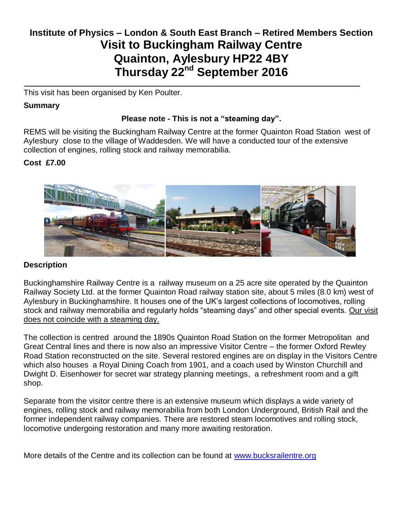# **Institute of Physics – London & South East Branch – Retired Members Section Visit to Buckingham Railway Centre Quainton, Aylesbury HP22 4BY Thursday 22nd September 2016**

This visit has been organised by Ken Poulter.

## **Summary**

# **Please note - This is not a "steaming day".**

REMS will be visiting the Buckingham Railway Centre at the former Quainton Road Station west of Aylesbury close to the village of Waddesden. We will have a conducted tour of the extensive collection of engines, rolling stock and railway memorabilia.

## **Cost £7.00**



## **Description**

Buckinghamshire Railway Centre is a [railway museum](https://en.wikipedia.org/wiki/Heritage_railway) on a 25 acre site operated by the Quainton Railway Society Ltd. at the former [Quainton Road railway station](https://en.wikipedia.org/wiki/Quainton_Road_railway_station) site, about 5 miles (8.0 km) west of [Aylesbury](https://en.wikipedia.org/wiki/Aylesbury) in [Buckinghamshire.](https://en.wikipedia.org/wiki/Buckinghamshire) It houses one of the UK's largest collections of locomotives, rolling stock and railway memorabilia and regularly holds "steaming days" and other special events. Our visit does not coincide with a steaming day.

The collection is centred around the 1890s Quainton Road Station on the former Metropolitan and Great Central lines and there is now also an impressive Visitor Centre – the former Oxford Rewley Road Station reconstructed on the site. Several restored engines are on display in the Visitors Centre which also houses a Royal Dining Coach from 1901, and a coach used by Winston Churchill and Dwight D. Eisenhower for secret war strategy planning meetings, a refreshment room and a gift shop.

Separate from the visitor centre there is an extensive museum which displays a wide variety of engines, rolling stock and railway memorabilia from both London Underground, British Rail and the former independent railway companies. There are restored steam locomotives and rolling stock, locomotive undergoing restoration and many more awaiting restoration.

More details of the Centre and its collection can be found at [www.bucksrailentre.org](http://www.bucksrailentre.org/)